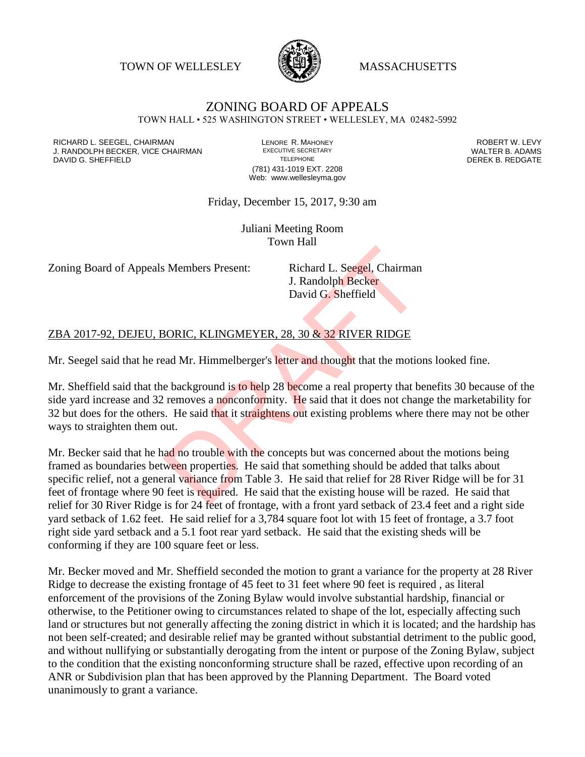TOWN OF WELLESLEY **WASSACHUSETTS** 



## ZONING BOARD OF APPEALS

TOWN HALL • 525 WASHINGTON STREET • WELLESLEY, MA 02482-5992

RICHARD L. SEEGEL, CHAIRMAN LENORE R. MAHONEY ROBERT W. LEVY J. RANDOLPH BECKER, VICE CHAIRMAN EXECUTIVE SECRETARY THE SECRETARY THE SANDOLPH BECKER B. ADAMS<br>DEREK B. REDGATE DAVID G. SHEFFIELD

(781) 431-1019 EXT. 2208 Web: www.wellesleyma.gov

## Friday, December 15, 2017, 9:30 am

Juliani Meeting Room Town Hall

Zoning Board of Appeals Members Present: Richard L. Seegel, Chairman

J. Randolph Becker David G. Sheffield

## ZBA 2017-92, DEJEU, BORIC, KLINGMEYER, 28, 30 & 32 RIVER RIDGE

Mr. Seegel said that he read Mr. Himmelberger's letter and thought that the motions looked fine.

Mr. Sheffield said that the background is to help 28 become a real property that benefits 30 because of the side yard increase and 32 removes a nonconformity. He said that it does not change the marketability for 32 but does for the others. He said that it straightens out existing problems where there may not be other ways to straighten them out.

Mr. Becker said that he had no trouble with the concepts but was concerned about the motions being framed as boundaries between properties. He said that something should be added that talks about specific relief, not a general variance from Table 3. He said that relief for 28 River Ridge will be for 31 feet of frontage where 90 feet is required. He said that the existing house will be razed. He said that relief for 30 River Ridge is for 24 feet of frontage, with a front yard setback of 23.4 feet and a right side yard setback of 1.62 feet. He said relief for a 3,784 square foot lot with 15 feet of frontage, a 3.7 foot right side yard setback and a 5.1 foot rear yard setback. He said that the existing sheds will be conforming if they are 100 square feet or less. S Members Present:<br>
Richard L. Seegel, Chairman<br>
J. Randolph Becker<br>
David G. Sheffield<br>
BORIC, KLINGMEYER, 28, 30 & 32 RIVER RIDGE<br>
and Mr. Himmelberger's letter and thought that the motion<br>
becker and thought that the mo

Mr. Becker moved and Mr. Sheffield seconded the motion to grant a variance for the property at 28 River Ridge to decrease the existing frontage of 45 feet to 31 feet where 90 feet is required , as literal enforcement of the provisions of the Zoning Bylaw would involve substantial hardship, financial or otherwise, to the Petitioner owing to circumstances related to shape of the lot, especially affecting such land or structures but not generally affecting the zoning district in which it is located; and the hardship has not been self-created; and desirable relief may be granted without substantial detriment to the public good, and without nullifying or substantially derogating from the intent or purpose of the Zoning Bylaw, subject to the condition that the existing nonconforming structure shall be razed, effective upon recording of an ANR or Subdivision plan that has been approved by the Planning Department. The Board voted unanimously to grant a variance.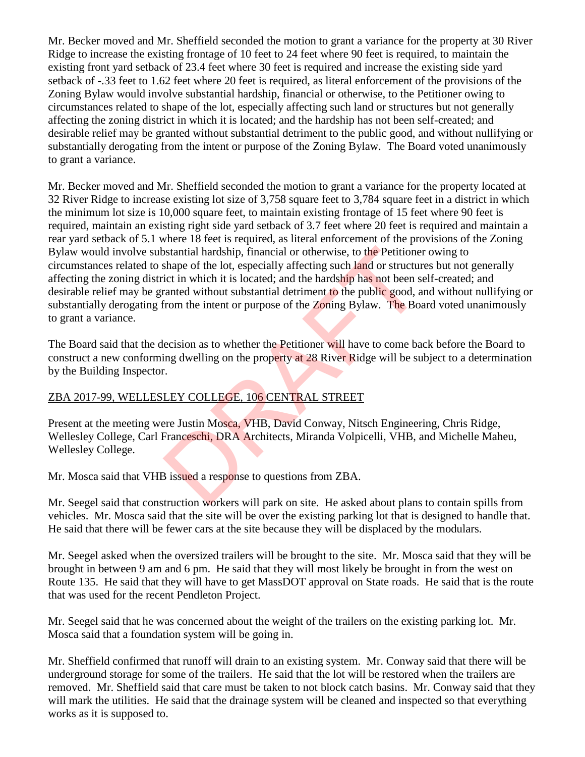Mr. Becker moved and Mr. Sheffield seconded the motion to grant a variance for the property at 30 River Ridge to increase the existing frontage of 10 feet to 24 feet where 90 feet is required, to maintain the existing front yard setback of 23.4 feet where 30 feet is required and increase the existing side yard setback of -.33 feet to 1.62 feet where 20 feet is required, as literal enforcement of the provisions of the Zoning Bylaw would involve substantial hardship, financial or otherwise, to the Petitioner owing to circumstances related to shape of the lot, especially affecting such land or structures but not generally affecting the zoning district in which it is located; and the hardship has not been self-created; and desirable relief may be granted without substantial detriment to the public good, and without nullifying or substantially derogating from the intent or purpose of the Zoning Bylaw. The Board voted unanimously to grant a variance.

Mr. Becker moved and Mr. Sheffield seconded the motion to grant a variance for the property located at 32 River Ridge to increase existing lot size of 3,758 square feet to 3,784 square feet in a district in which the minimum lot size is 10,000 square feet, to maintain existing frontage of 15 feet where 90 feet is required, maintain an existing right side yard setback of 3.7 feet where 20 feet is required and maintain a rear yard setback of 5.1 where 18 feet is required, as literal enforcement of the provisions of the Zoning Bylaw would involve substantial hardship, financial or otherwise, to the Petitioner owing to circumstances related to shape of the lot, especially affecting such land or structures but not generally affecting the zoning district in which it is located; and the hardship has not been self-created; and desirable relief may be granted without substantial detriment to the public good, and without nullifying or substantially derogating from the intent or purpose of the Zoning Bylaw. The Board voted unanimously to grant a variance. between the lot, especially affecting such land or structure shape of the lot, especially affecting such land or structure in which it is located; and the hardship has not been stranted without substantial detriment to the

The Board said that the decision as to whether the Petitioner will have to come back before the Board to construct a new conforming dwelling on the property at 28 River Ridge will be subject to a determination by the Building Inspector.

## ZBA 2017-99, WELLESLEY COLLEGE, 106 CENTRAL STREET

Present at the meeting were Justin Mosca, VHB, David Conway, Nitsch Engineering, Chris Ridge, Wellesley College, Carl Franceschi, DRA Architects, Miranda Volpicelli, VHB, and Michelle Maheu, Wellesley College.

Mr. Mosca said that VHB issued a response to questions from ZBA.

Mr. Seegel said that construction workers will park on site. He asked about plans to contain spills from vehicles. Mr. Mosca said that the site will be over the existing parking lot that is designed to handle that. He said that there will be fewer cars at the site because they will be displaced by the modulars.

Mr. Seegel asked when the oversized trailers will be brought to the site. Mr. Mosca said that they will be brought in between 9 am and 6 pm. He said that they will most likely be brought in from the west on Route 135. He said that they will have to get MassDOT approval on State roads. He said that is the route that was used for the recent Pendleton Project.

Mr. Seegel said that he was concerned about the weight of the trailers on the existing parking lot. Mr. Mosca said that a foundation system will be going in.

Mr. Sheffield confirmed that runoff will drain to an existing system. Mr. Conway said that there will be underground storage for some of the trailers. He said that the lot will be restored when the trailers are removed. Mr. Sheffield said that care must be taken to not block catch basins. Mr. Conway said that they will mark the utilities. He said that the drainage system will be cleaned and inspected so that everything works as it is supposed to.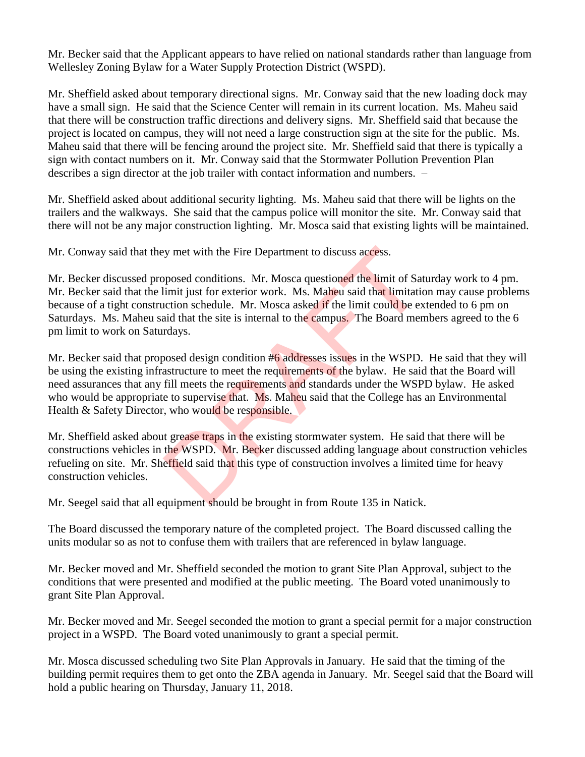Mr. Becker said that the Applicant appears to have relied on national standards rather than language from Wellesley Zoning Bylaw for a Water Supply Protection District (WSPD).

Mr. Sheffield asked about temporary directional signs. Mr. Conway said that the new loading dock may have a small sign. He said that the Science Center will remain in its current location. Ms. Maheu said that there will be construction traffic directions and delivery signs. Mr. Sheffield said that because the project is located on campus, they will not need a large construction sign at the site for the public. Ms. Maheu said that there will be fencing around the project site. Mr. Sheffield said that there is typically a sign with contact numbers on it. Mr. Conway said that the Stormwater Pollution Prevention Plan describes a sign director at the job trailer with contact information and numbers. –

Mr. Sheffield asked about additional security lighting. Ms. Maheu said that there will be lights on the trailers and the walkways. She said that the campus police will monitor the site. Mr. Conway said that there will not be any major construction lighting. Mr. Mosca said that existing lights will be maintained.

Mr. Conway said that they met with the Fire Department to discuss access.

Mr. Becker discussed proposed conditions. Mr. Mosca questioned the limit of Saturday work to 4 pm. Mr. Becker said that the limit just for exterior work. Ms. Maheu said that limitation may cause problems because of a tight construction schedule. Mr. Mosca asked if the limit could be extended to 6 pm on Saturdays. Ms. Maheu said that the site is internal to the campus. The Board members agreed to the 6 pm limit to work on Saturdays.

Mr. Becker said that proposed design condition #6 addresses issues in the WSPD. He said that they will be using the existing infrastructure to meet the requirements of the bylaw. He said that the Board will need assurances that any fill meets the requirements and standards under the WSPD bylaw. He asked who would be appropriate to supervise that. Ms. Maheu said that the College has an Environmental Health & Safety Director, who would be responsible. by met with the Fire Department to discuss access.<br>prosed conditions. Mr. Mosca questioned the limit of Sammit just for exterior work. Ms. Maheu said that limitatii<br>action schedule. Mr. Mosca asked if the limit could be ex

Mr. Sheffield asked about grease traps in the existing stormwater system. He said that there will be constructions vehicles in the WSPD. Mr. Becker discussed adding language about construction vehicles refueling on site. Mr. Sheffield said that this type of construction involves a limited time for heavy construction vehicles.

Mr. Seegel said that all equipment should be brought in from Route 135 in Natick.

The Board discussed the temporary nature of the completed project. The Board discussed calling the units modular so as not to confuse them with trailers that are referenced in bylaw language.

Mr. Becker moved and Mr. Sheffield seconded the motion to grant Site Plan Approval, subject to the conditions that were presented and modified at the public meeting. The Board voted unanimously to grant Site Plan Approval.

Mr. Becker moved and Mr. Seegel seconded the motion to grant a special permit for a major construction project in a WSPD. The Board voted unanimously to grant a special permit.

Mr. Mosca discussed scheduling two Site Plan Approvals in January. He said that the timing of the building permit requires them to get onto the ZBA agenda in January. Mr. Seegel said that the Board will hold a public hearing on Thursday, January 11, 2018.